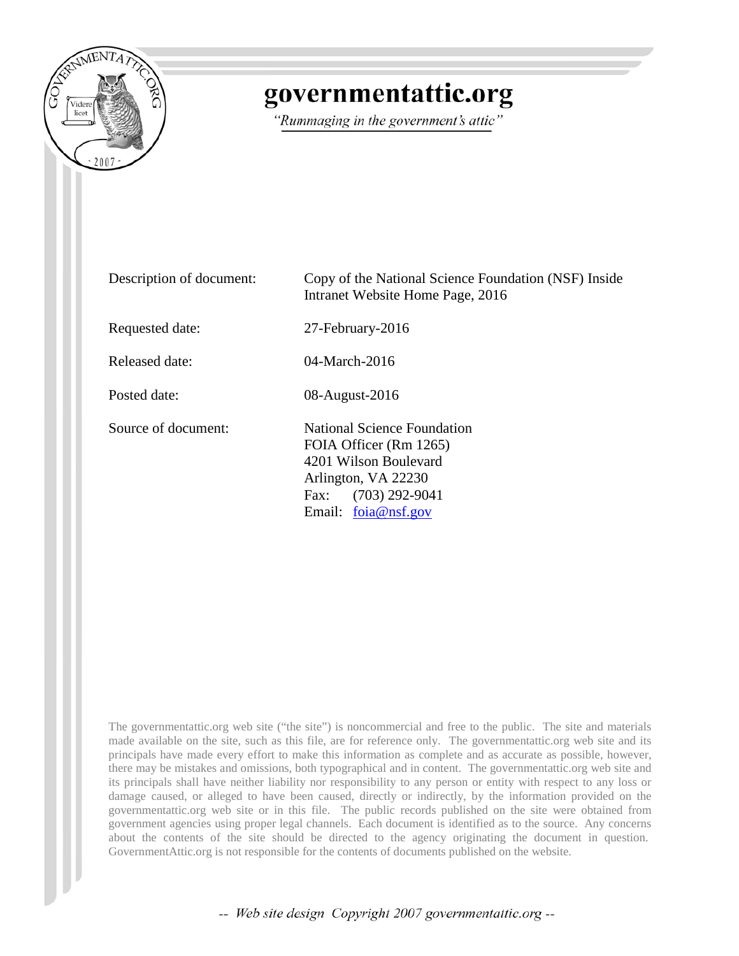

## governmentattic.org

"Rummaging in the government's attic"

| Description of document: | Copy of the National Science Foundation (NSF) Inside<br>Intranet Website Home Page, 2016                                                                   |
|--------------------------|------------------------------------------------------------------------------------------------------------------------------------------------------------|
| Requested date:          | 27-February-2016                                                                                                                                           |
| Released date:           | $04$ -March-2016                                                                                                                                           |
| Posted date:             | 08-August-2016                                                                                                                                             |
| Source of document:      | National Science Foundation<br>FOIA Officer (Rm 1265)<br>4201 Wilson Boulevard<br>Arlington, VA 22230<br>$(703)$ 292-9041<br>Fax:<br>Email: $foia@nsf.gov$ |

The governmentattic.org web site ("the site") is noncommercial and free to the public. The site and materials made available on the site, such as this file, are for reference only. The governmentattic.org web site and its principals have made every effort to make this information as complete and as accurate as possible, however, there may be mistakes and omissions, both typographical and in content. The governmentattic.org web site and its principals shall have neither liability nor responsibility to any person or entity with respect to any loss or damage caused, or alleged to have been caused, directly or indirectly, by the information provided on the governmentattic.org web site or in this file. The public records published on the site were obtained from government agencies using proper legal channels. Each document is identified as to the source. Any concerns about the contents of the site should be directed to the agency originating the document in question. GovernmentAttic.org is not responsible for the contents of documents published on the website.

-- Web site design Copyright 2007 governmentattic.org --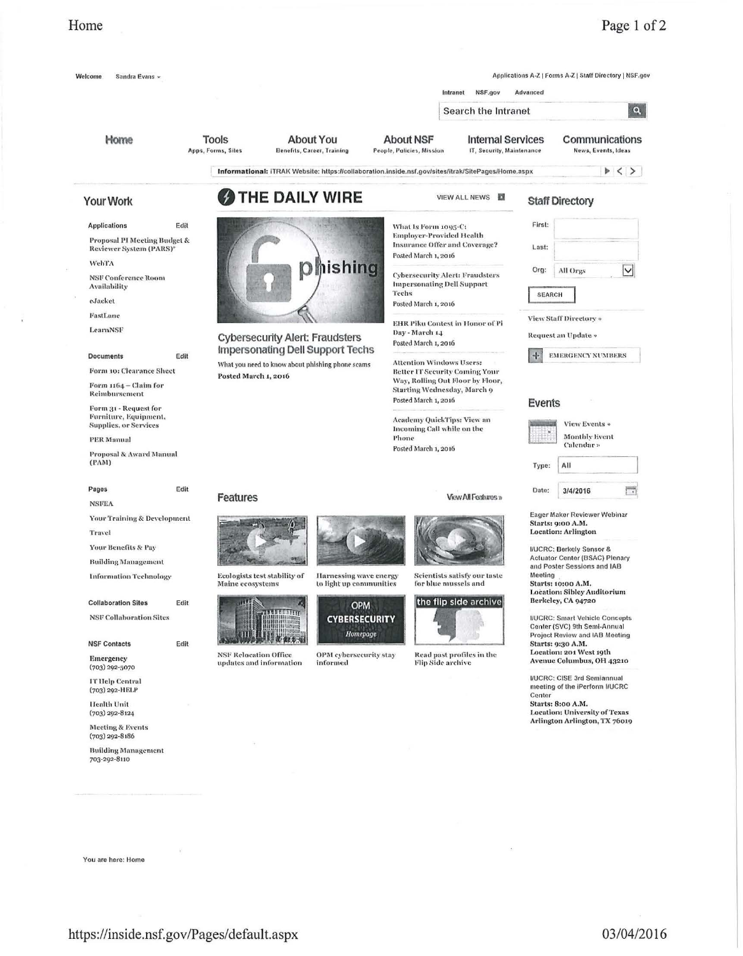## Home